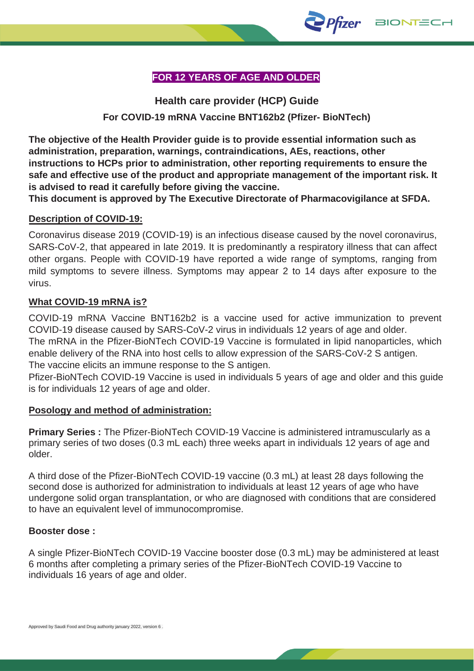

# **FOR 12 YEARS OF AGE AND OLDER**

**Health care provider (HCP) Guide For COVID-19 mRNA Vaccine BNT162b2 (Pfizer- BioNTech)** 

**The objective of the Health Provider guide is to provide essential information such as administration, preparation, warnings, contraindications, AEs, reactions, other instructions to HCPs prior to administration, other reporting requirements to ensure the safe and effective use of the product and appropriate management of the important risk. It is advised to read it carefully before giving the vaccine.** 

**This document is approved by The Executive Directorate of Pharmacovigilance at SFDA.**

## **Description of COVID-19:**

Coronavirus disease 2019 (COVID-19) is an infectious disease caused by the novel coronavirus, SARS-CoV-2, that appeared in late 2019. It is predominantly a respiratory illness that can affect other organs. People with COVID-19 have reported a wide range of symptoms, ranging from mild symptoms to severe illness. Symptoms may appear 2 to 14 days after exposure to the virus.

### **What COVID-19 mRNA is?**

COVID-19 mRNA Vaccine BNT162b2 is a vaccine used for active immunization to prevent COVID-19 disease caused by SARS-CoV-2 virus in individuals 12 years of age and older.

The mRNA in the Pfizer-BioNTech COVID-19 Vaccine is formulated in lipid nanoparticles, which enable delivery of the RNA into host cells to allow expression of the SARS-CoV-2 S antigen. The vaccine elicits an immune response to the S antigen.

Pfizer-BioNTech COVID-19 Vaccine is used in individuals 5 years of age and older and this guide is for individuals 12 years of age and older.

### **Posology and method of administration:**

**Primary Series :** The Pfizer-BioNTech COVID-19 Vaccine is administered intramuscularly as a primary series of two doses (0.3 mL each) three weeks apart in individuals 12 years of age and older.

A third dose of the Pfizer-BioNTech COVID-19 vaccine (0.3 mL) at least 28 days following the second dose is authorized for administration to individuals at least 12 years of age who have undergone solid organ transplantation, or who are diagnosed with conditions that are considered to have an equivalent level of immunocompromise.

### **Booster dose :**

A single Pfizer-BioNTech COVID-19 Vaccine booster dose (0.3 mL) may be administered at least 6 months after completing a primary series of the Pfizer-BioNTech COVID-19 Vaccine to individuals 16 years of age and older.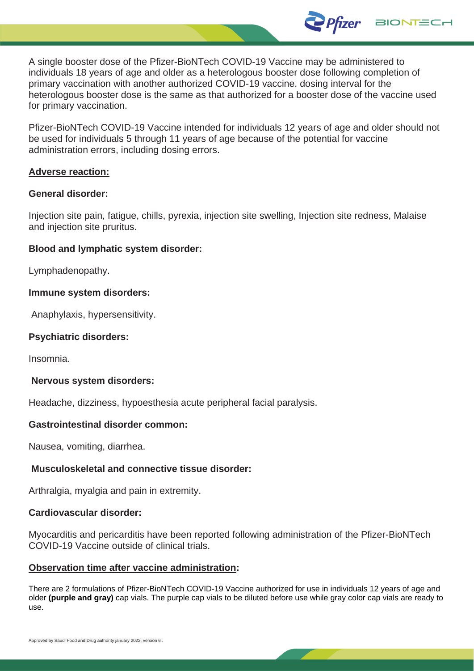A single booster dose of the Pfizer-BioNTech COVID-19 Vaccine may be administered to individuals 18 years of age and older as a heterologous booster dose following completion of primary vaccination with another authorized COVID-19 vaccine. dosing interval for the heterologous booster dose is the same as that authorized for a booster dose of the vaccine used for primary vaccination.

*Pfizer* 

**BIONTECH** 

Pfizer-BioNTech COVID-19 Vaccine intended for individuals 12 years of age and older should not be used for individuals 5 through 11 years of age because of the potential for vaccine administration errors, including dosing errors.

#### **Adverse reaction:**

#### **General disorder:**

Injection site pain, fatigue, chills, pyrexia, injection site swelling, Injection site redness, Malaise and injection site pruritus.

#### **Blood and lymphatic system disorder:**

Lymphadenopathy.

#### **Immune system disorders:**

Anaphylaxis, hypersensitivity.

#### **Psychiatric disorders:**

Insomnia.

#### **Nervous system disorders:**

Headache, dizziness, hypoesthesia acute peripheral facial paralysis.

#### **Gastrointestinal disorder common:**

Nausea, vomiting, diarrhea.

### **Musculoskeletal and connective tissue disorder:**

Arthralgia, myalgia and pain in extremity.

#### **Cardiovascular disorder:**

Myocarditis and pericarditis have been reported following administration of the Pfizer-BioNTech COVID-19 Vaccine outside of clinical trials.

#### **Observation time after vaccine administration:**

There are 2 formulations of Pfizer-BioNTech COVID-19 Vaccine authorized for use in individuals 12 years of age and older **(purple and gray)** cap vials. The purple cap vials to be diluted before use while gray color cap vials are ready to use.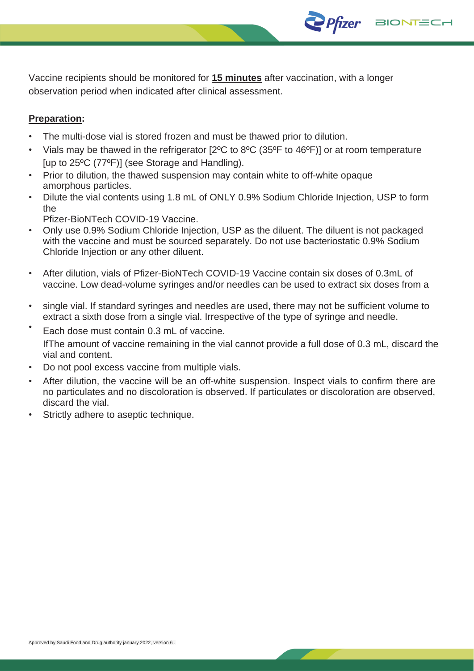Vaccine recipients should be monitored for **15 minutes** after vaccination, with a longer observation period when indicated after clinical assessment.

**Pfizer** 

**BIONTECH** 

# **Preparation:**

- The multi-dose vial is stored frozen and must be thawed prior to dilution.
- Vials may be thawed in the refrigerator [2ºC to 8ºC (35ºF to 46ºF)] or at room temperature [up to 25ºC (77ºF)] (see Storage and Handling).
- Prior to dilution, the thawed suspension may contain white to off-white opaque amorphous particles.
- Dilute the vial contents using 1.8 mL of ONLY 0.9% Sodium Chloride Injection, USP to form the
- Pfizer-BioNTech COVID-19 Vaccine.
- Only use 0.9% Sodium Chloride Injection, USP as the diluent. The diluent is not packaged with the vaccine and must be sourced separately. Do not use bacteriostatic 0.9% Sodium Chloride Injection or any other diluent.
- After dilution, vials of Pfizer-BioNTech COVID-19 Vaccine contain six doses of 0.3mL of vaccine. Low dead-volume syringes and/or needles can be used to extract six doses from a
- single vial. If standard syringes and needles are used, there may not be sufficient volume to extract a sixth dose from a single vial. Irrespective of the type of syringe and needle.
- Each dose must contain 0.3 mL of vaccine. IfThe amount of vaccine remaining in the vial cannot provide a full dose of 0.3 mL, discard the vial and content.
- Do not pool excess vaccine from multiple vials.
- After dilution, the vaccine will be an off-white suspension. Inspect vials to confirm there are no particulates and no discoloration is observed. If particulates or discoloration are observed, discard the vial.
- Strictly adhere to aseptic technique.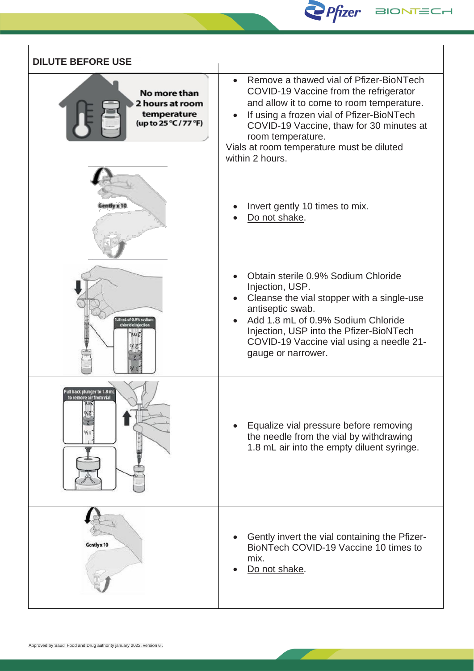

| <b>DILUTE BEFORE USE</b>                                                |                                                                                                                                                                                                                                                                                                                                        |
|-------------------------------------------------------------------------|----------------------------------------------------------------------------------------------------------------------------------------------------------------------------------------------------------------------------------------------------------------------------------------------------------------------------------------|
| No more than<br>2 hours at room<br>temperature<br>(up to 25 °C / 77 °F) | Remove a thawed vial of Pfizer-BioNTech<br>$\bullet$<br>COVID-19 Vaccine from the refrigerator<br>and allow it to come to room temperature.<br>If using a frozen vial of Pfizer-BioNTech<br>$\bullet$<br>COVID-19 Vaccine, thaw for 30 minutes at<br>room temperature.<br>Vials at room temperature must be diluted<br>within 2 hours. |
|                                                                         | Invert gently 10 times to mix.<br>Do not shake.                                                                                                                                                                                                                                                                                        |
| .8 mL of 0.9% sodium<br>chloride injection                              | Obtain sterile 0.9% Sodium Chloride<br>Injection, USP.<br>Cleanse the vial stopper with a single-use<br>$\bullet$<br>antiseptic swab.<br>Add 1.8 mL of 0.9% Sodium Chloride<br>$\bullet$<br>Injection, USP into the Pfizer-BioNTech<br>COVID-19 Vaccine vial using a needle 21-<br>gauge or narrower.                                  |
| ull back plunger to 1.8 mi<br>to remove air from vial<br>TWE!           | Equalize vial pressure before removing<br>the needle from the vial by withdrawing<br>1.8 mL air into the empty diluent syringe.                                                                                                                                                                                                        |
| Gently x 10                                                             | Gently invert the vial containing the Pfizer-<br>BioNTech COVID-19 Vaccine 10 times to<br>mix.<br>Do not shake.                                                                                                                                                                                                                        |

'n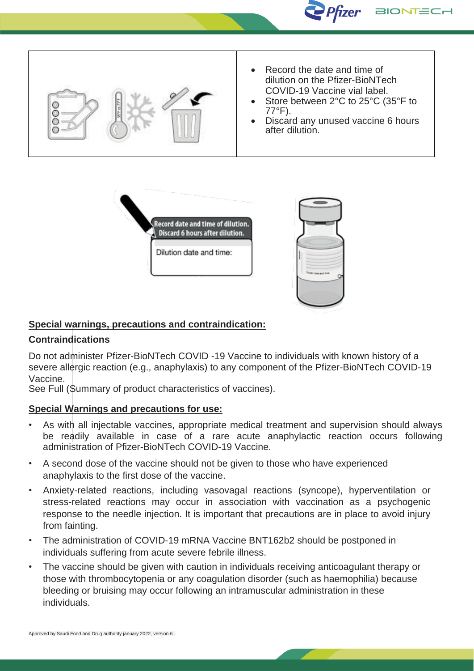



# **Special warnings, precautions and contraindication:**

### **Contraindications**

Do not administer Pfizer-BioNTech COVID -19 Vaccine to individuals with known history of a severe allergic reaction (e.g., anaphylaxis) to any component of the Pfizer-BioNTech COVID-19 Vaccine.

See Full (Summary of product characteristics of vaccines).

## **Special Warnings and precautions for use:**

- As with all injectable vaccines, appropriate medical treatment and supervision should always be readily available in case of a rare acute anaphylactic reaction occurs following administration of Pfizer-BioNTech COVID-19 Vaccine.
- A second dose of the vaccine should not be given to those who have experienced anaphylaxis to the first dose of the vaccine.
- Anxiety-related reactions, including vasovagal reactions (syncope), hyperventilation or stress-related reactions may occur in association with vaccination as a psychogenic response to the needle injection. It is important that precautions are in place to avoid injury from fainting.
- The administration of COVID-19 mRNA Vaccine BNT162b2 should be postponed in individuals suffering from acute severe febrile illness.
- The vaccine should be given with caution in individuals receiving anticoagulant therapy or those with thrombocytopenia or any coagulation disorder (such as haemophilia) because bleeding or bruising may occur following an intramuscular administration in these individuals.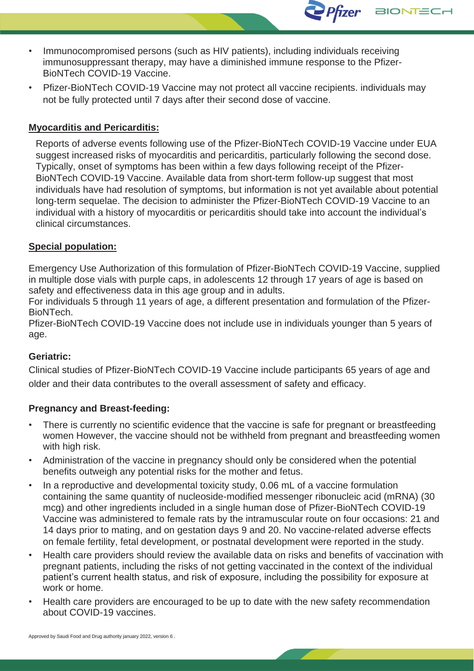- Immunocompromised persons (such as HIV patients), including individuals receiving immunosuppressant therapy, may have a diminished immune response to the Pfizer-BioNTech COVID-19 Vaccine.
- Pfizer-BioNTech COVID-19 Vaccine may not protect all vaccine recipients. individuals may not be fully protected until 7 days after their second dose of vaccine.

*Pfizer* 

**BIONTEC** 

## **Myocarditis and Pericarditis:**

Reports of adverse events following use of the Pfizer-BioNTech COVID-19 Vaccine under EUA suggest increased risks of myocarditis and pericarditis, particularly following the second dose. Typically, onset of symptoms has been within a few days following receipt of the Pfizer-BioNTech COVID-19 Vaccine. Available data from short-term follow-up suggest that most individuals have had resolution of symptoms, but information is not yet available about potential long-term sequelae. The decision to administer the Pfizer-BioNTech COVID-19 Vaccine to an individual with a history of myocarditis or pericarditis should take into account the individual's clinical circumstances.

### **Special population:**

Emergency Use Authorization of this formulation of Pfizer-BioNTech COVID-19 Vaccine, supplied in multiple dose vials with purple caps, in adolescents 12 through 17 years of age is based on safety and effectiveness data in this age group and in adults.

For individuals 5 through 11 years of age, a different presentation and formulation of the Pfizer-**BioNTech** 

Pfizer-BioNTech COVID-19 Vaccine does not include use in individuals younger than 5 years of age.

### **Geriatric:**

Clinical studies of Pfizer-BioNTech COVID-19 Vaccine include participants 65 years of age and older and their data contributes to the overall assessment of safety and efficacy.

### **Pregnancy and Breast-feeding:**

- There is currently no scientific evidence that the vaccine is safe for pregnant or breastfeeding women However, the vaccine should not be withheld from pregnant and breastfeeding women with high risk.
- Administration of the vaccine in pregnancy should only be considered when the potential benefits outweigh any potential risks for the mother and fetus.
- In a reproductive and developmental toxicity study, 0.06 mL of a vaccine formulation containing the same quantity of nucleoside-modified messenger ribonucleic acid (mRNA) (30 mcg) and other ingredients included in a single human dose of Pfizer-BioNTech COVID-19 Vaccine was administered to female rats by the intramuscular route on four occasions: 21 and 14 days prior to mating, and on gestation days 9 and 20. No vaccine-related adverse effects on female fertility, fetal development, or postnatal development were reported in the study.
- Health care providers should review the available data on risks and benefits of vaccination with pregnant patients, including the risks of not getting vaccinated in the context of the individual patient's current health status, and risk of exposure, including the possibility for exposure at work or home.
- Health care providers are encouraged to be up to date with the new safety recommendation about COVID-19 vaccines.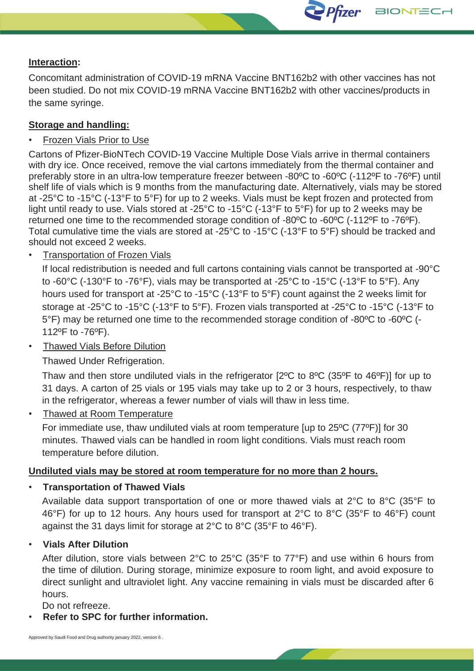## **Interaction:**

Concomitant administration of COVID-19 mRNA Vaccine BNT162b2 with other vaccines has not been studied. Do not mix COVID-19 mRNA Vaccine BNT162b2 with other vaccines/products in the same syringe.

Pfizer BIONTECH

### **Storage and handling:**

### • Frozen Vials Prior to Use

Cartons of Pfizer-BioNTech COVID-19 Vaccine Multiple Dose Vials arrive in thermal containers with dry ice. Once received, remove the vial cartons immediately from the thermal container and preferably store in an ultra-low temperature freezer between -80ºC to -60ºC (-112ºF to -76ºF) until shelf life of vials which is 9 months from the manufacturing date. Alternatively, vials may be stored at -25°C to -15°C (-13°F to 5°F) for up to 2 weeks. Vials must be kept frozen and protected from light until ready to use. Vials stored at -25°C to -15°C (-13°F to 5°F) for up to 2 weeks may be returned one time to the recommended storage condition of -80ºC to -60ºC (-112ºF to -76ºF). Total cumulative time the vials are stored at -25°C to -15°C (-13°F to 5°F) should be tracked and should not exceed 2 weeks.

• Transportation of Frozen Vials

If local redistribution is needed and full cartons containing vials cannot be transported at -90°C to -60 $^{\circ}$ C (-130 $^{\circ}$ F to -76 $^{\circ}$ F), vials may be transported at -25 $^{\circ}$ C to -15 $^{\circ}$ C (-13 $^{\circ}$ F to 5 $^{\circ}$ F). Any hours used for transport at -25°C to -15°C (-13°F to 5°F) count against the 2 weeks limit for storage at -25°C to -15°C (-13°F to 5°F). Frozen vials transported at -25°C to -15°C (-13°F to 5°F) may be returned one time to the recommended storage condition of -80ºC to -60ºC (- 112ºF to -76ºF).

• Thawed Vials Before Dilution

Thawed Under Refrigeration.

Thaw and then store undiluted vials in the refrigerator [2ºC to 8ºC (35ºF to 46ºF)] for up to 31 days. A carton of 25 vials or 195 vials may take up to 2 or 3 hours, respectively, to thaw in the refrigerator, whereas a fewer number of vials will thaw in less time.

• Thawed at Room Temperature

For immediate use, thaw undiluted vials at room temperature [up to 25ºC (77ºF)] for 30 minutes. Thawed vials can be handled in room light conditions. Vials must reach room temperature before dilution.

### **Undiluted vials may be stored at room temperature for no more than 2 hours.**

• **Transportation of Thawed Vials**

Available data support transportation of one or more thawed vials at 2°C to 8°C (35°F to 46°F) for up to 12 hours. Any hours used for transport at 2°C to 8°C (35°F to 46°F) count against the 31 days limit for storage at 2°C to 8°C (35°F to 46°F).

### • **Vials After Dilution**

After dilution, store vials between 2°C to 25°C (35°F to 77°F) and use within 6 hours from the time of dilution. During storage, minimize exposure to room light, and avoid exposure to direct sunlight and ultraviolet light. Any vaccine remaining in vials must be discarded after 6 hours.

Do not refreeze.

• **Refer to SPC for further information.**